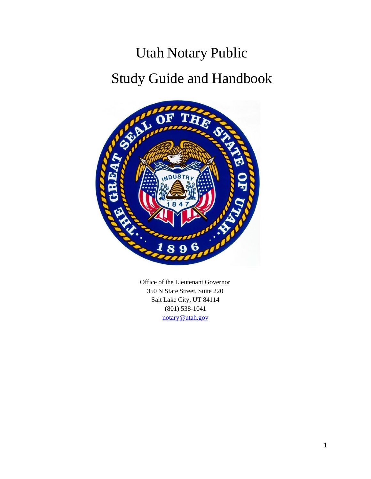# Utah Notary Public Study Guide and Handbook



Office of the Lieutenant Governor 350 N State Street, Suite 220 Salt Lake City, UT 84114 (801) 538-1041 [notary@utah.gov](mailto:notary@utah.gov)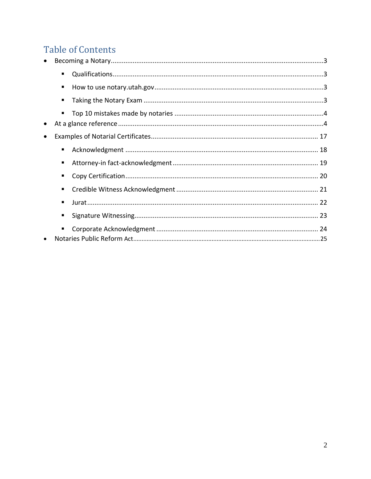### **Table of Contents**

|           | ٠              |  |
|-----------|----------------|--|
|           | ٠              |  |
|           |                |  |
|           | ٠              |  |
| $\bullet$ |                |  |
| $\bullet$ |                |  |
|           | $\blacksquare$ |  |
|           | $\blacksquare$ |  |
|           | ٠              |  |
|           |                |  |
|           | ٠              |  |
|           |                |  |
|           |                |  |
|           |                |  |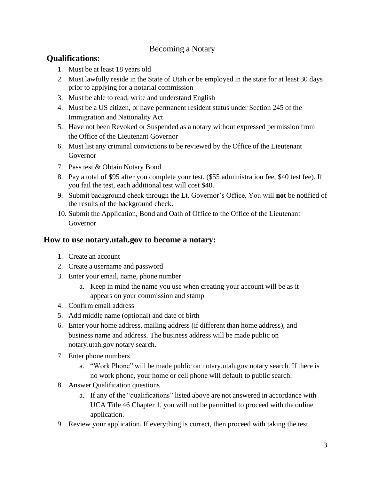### Becoming a Notary

### **Qualifications:**

- 1. Must be at least 18 years old
- 2. Must lawfully reside in the State of Utah or be employed in the state for at least 30 days prior to applying for a notarial commission
- 3. Must be able to read, write and understand English
- 4. Must be a US citizen, or have permanent resident status under Section 245 of the Immigration and Nationality Act
- 5. Have not been Revoked or Suspended as a notary without expressed permission from the Office of the Lieutenant Governor
- 6. Must list any criminal convictions to be reviewed by the Office of the Lieutenant Governor
- 7. Pass test & Obtain Notary Bond
- 8. Pay a total of \$95 after you complete your test. (\$55 administration fee, \$40 test fee). If you fail the test, each additional test will cost \$40.
- 9. Submit background check through the Lt. Governor's Office. You will **not** be notified of the results of the background check.
- 10. Submit the Application, Bond and Oath of Office to the Office of the Lieutenant Governor

### **How to use notary.utah.gov to become a notary:**

- 1. Create an account
- 2. Create a username and password
- 3. Enter your email, name, phone number
	- a. Keep in mind the name you use when creating your account will be as it appears on your commission and stamp
- 4. Confirm email address
- 5. Add middle name (optional) and date of birth
- 6. Enter your home address, mailing address (if different than home address), and business name and address. The business address will be made public on notary.utah.gov notary search.
- 7. Enter phone numbers
	- a. "Work Phone" will be made public on notary.utah.gov notary search. If there is no work phone, your home or cell phone will default to public search.
- 8. Answer Qualification questions
	- a. If any of the "qualifications" listed above are not answered in accordance with UCA Title 46 Chapter 1, you will not be permitted to proceed with the online application.
- 9. Review your application. If everything is correct, then proceed with taking the test.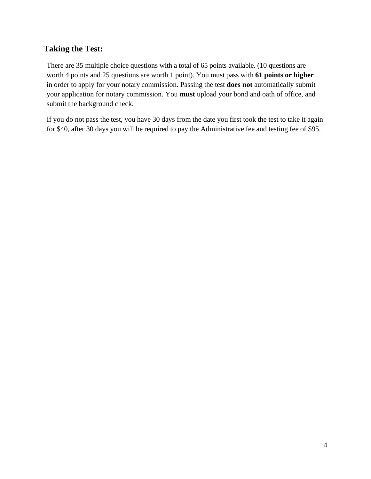### **Taking the Test:**

There are 35 multiple choice questions with a total of 65 points available. (10 questions are worth 4 points and 25 questions are worth 1 point). You must pass with **61 points or higher** in order to apply for your notary commission. Passing the test **does not** automatically submit your application for notary commission. You **must** upload your bond and oath of office, and submit the background check.

If you do not pass the test, you have 30 days from the date you first took the test to take it again for \$40, after 30 days you will be required to pay the Administrative fee and testing fee of \$95.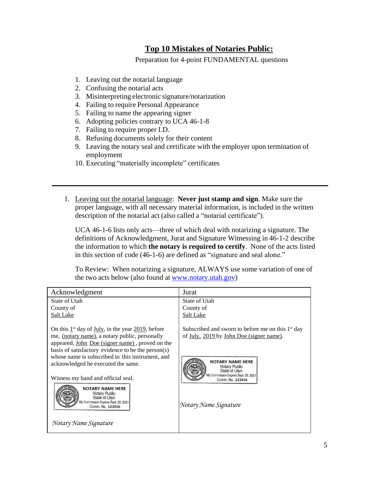### **Top 10 Mistakes of Notaries Public:**

Preparation for 4-point FUNDAMENTAL questions

- 1. Leaving out the notarial language
- 2. Confusing the notarial acts
- 3. Misinterpreting electronic signature/notarization
- 4. Failing to require Personal Appearance
- 5. Failing to name the appearing signer
- 6. Adopting policies contrary to UCA 46-1-8
- 7. Failing to require proper I.D.
- 8. Refusing documents solely for their content
- 9. Leaving the notary seal and certificate with the employer upon termination of employment
- 10. Executing "materially incomplete" certificates
- 1. Leaving out the notarial language: **Never just stamp and sign**. Make sure the proper language, with all necessary material information, is included in the written description of the notarial act (also called a "notarial certificate").

UCA 46-1-6 lists only acts—three of which deal with notarizing a signature. The definitions of Acknowledgment, Jurat and Signature Witnessing in 46-1-2 describe the information to which **the notary is required to certify**. None of the acts listed in this section of code (46-1-6) are defined as "signature and seal alone."

To Review: When notarizing a signature, ALWAYS use some variation of one of the two acts below (also found at [www.notary.utah.gov\)](http://www.notary.utah.gov/)

| Acknowledgment                                                                                                                                                                                                                         | Jurat                                                                                                                 |
|----------------------------------------------------------------------------------------------------------------------------------------------------------------------------------------------------------------------------------------|-----------------------------------------------------------------------------------------------------------------------|
| State of Utah<br>County of<br><b>Salt Lake</b>                                                                                                                                                                                         | State of Utah<br>County of<br>Salt Lake                                                                               |
| On this $1st$ day of <u>July</u> , in the year 2019, before<br>me, <i>(notary name)</i> , a notary public, personally<br>appeared, <u>John Doe (signer name)</u> , proved on the<br>basis of satisfactory evidence to be the person(s) | Subscribed and sworn to before me on this $1st$ day<br>of <u>July, 2019</u> by John Doe (signer name).                |
| whose name is subscribed to this instrument, and<br>acknowledged he executed the same.<br>Witness my hand and official seal.                                                                                                           | <b>NOTARY NAME HERE</b><br>Notary Public<br>State of Utah<br>fy Commission Expires Sept. 05, 2021<br>Comm. No. 123456 |
| <b>NOTARY NAME HERE</b><br>Notary Public<br>State of Utah<br>Commission Expires Sept. 05, 2021<br>Comm. No. 123456                                                                                                                     | Notary Name Signature                                                                                                 |
| Notary Name Signature                                                                                                                                                                                                                  |                                                                                                                       |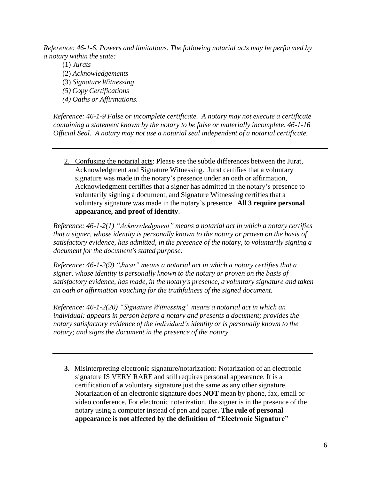*Reference: 46-1-6. Powers and limitations. The following notarial acts may be performed by a notary within the state:*

(1) *Jurats* (2) *Acknowledgements* (3) *Signature Witnessing (5) Copy Certifications (4) Oaths or Affirmations.*

*Reference: 46-1-9 False or incomplete certificate. A notary may not execute a certificate containing a statement known by the notary to be false or materially incomplete. 46-1-16 Official Seal. A notary may not use a notarial seal independent of a notarial certificate.*

2. Confusing the notarial acts: Please see the subtle differences between the Jurat, Acknowledgment and Signature Witnessing. Jurat certifies that a voluntary signature was made in the notary's presence under an oath or affirmation, Acknowledgment certifies that a signer has admitted in the notary's presence to voluntarily signing a document, and Signature Witnessing certifies that a voluntary signature was made in the notary's presence. **All 3 require personal appearance, and proof of identity**.

*Reference: 46-1-2(1) "Acknowledgment" means a notarial act in which a notary certifies that a signer, whose identity is personally known to the notary or proven on the basis of satisfactory evidence, has admitted, in the presence of the notary, to voluntarily signing a document for the document's stated purpose.*

*Reference: 46-1-2(9) "Jurat" means a notarial act in which a notary certifies that a signer, whose identity is personally known to the notary or proven on the basis of satisfactory evidence, has made, in the notary's presence, a voluntary signature and taken an oath or affirmation vouching for the truthfulness of the signed document.*

*Reference: 46-1-2(20) "Signature Witnessing" means a notarial act in which an individual: appears in person before a notary and presents a document; provides the notary satisfactory evidence of the individual's identity or is personally known to the notary; and signs the document in the presence of the notary.*

**3.** Misinterpreting electronic signature/notarization: Notarization of an electronic signature IS VERY RARE and still requires personal appearance. It is a certification of **a** voluntary signature just the same as any other signature. Notarization of an electronic signature does **NOT** mean by phone, fax, email or video conference. For electronic notarization, the signer is in the presence of the notary using a computer instead of pen and paper**. The rule of personal appearance is not affected by the definition of "Electronic Signature"**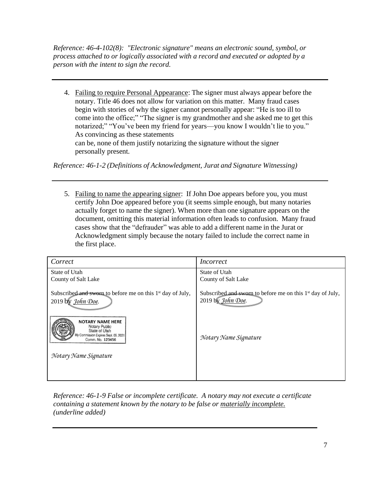*Reference: 46-4-102(8): "Electronic signature" means an electronic sound, symbol, or process attached to or logically associated with a record and executed or adopted by a person with the intent to sign the record.*

4. Failing to require Personal Appearance: The signer must always appear before the notary. Title 46 does not allow for variation on this matter. Many fraud cases begin with stories of why the signer cannot personally appear: "He is too ill to come into the office;" "The signer is my grandmother and she asked me to get this notarized;" "You've been my friend for years—you know I wouldn't lie to you." As convincing as these statements can be, none of them justify notarizing the signature without the signer personally present.

*Reference: 46-1-2 (Definitions of Acknowledgment, Jurat and Signature Witnessing)*

5. Failing to name the appearing signer: If John Doe appears before you, you must certify John Doe appeared before you (it seems simple enough, but many notaries actually forget to name the signer). When more than one signature appears on the document, omitting this material information often leads to confusion. Many fraud cases show that the "defrauder" was able to add a different name in the Jurat or Acknowledgment simply because the notary failed to include the correct name in the first place.

| Correct                                                                                                              | Incorrect                                                                                   |
|----------------------------------------------------------------------------------------------------------------------|---------------------------------------------------------------------------------------------|
| State of Utah                                                                                                        | State of Utah                                                                               |
| County of Salt Lake                                                                                                  | County of Salt Lake                                                                         |
| Subscribed and sworn to before me on this $1st$ day of July,<br>2019 by John Doe.                                    | Subscribed and sworn to before me on this 1 <sup>st</sup> day of July,<br>2019 by John Doe. |
| <b>NOTARY NAME HERE</b><br>Notary Public<br>State of Utah<br>y Commission Expires Sept. 05, 2021<br>Comm. No. 123456 | Notary Name Signature                                                                       |
| Notary Name Signature                                                                                                |                                                                                             |
|                                                                                                                      |                                                                                             |

*Reference: 46-1-9 False or incomplete certificate. A notary may not execute a certificate containing a statement known by the notary to be false or materially incomplete. (underline added)*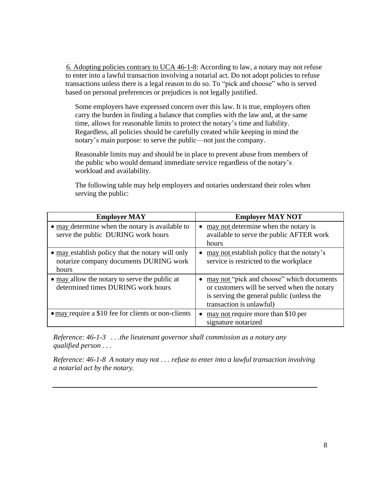6.6. Adopting policies contrary to UCA 46-1-8: According to law, a notary may not refuse to enter into a lawful transaction involving a notarial act. Do not adopt policies to refuse transactions unless there is a legal reason to do so. To "pick and choose" who is served based on personal preferences or prejudices is not legally justified.

Some employers have expressed concern over this law. It is true, employers often carry the burden in finding a balance that complies with the law and, at the same time, allows for reasonable limits to protect the notary's time and liability. Regardless, all policies should be carefully created while keeping in mind the notary's main purpose: to serve the public—not just the company.

Reasonable limits may and should be in place to prevent abuse from members of the public who would demand immediate service regardless of the notary's workload and availability.

The following table may help employers and notaries understand their roles when serving the public:

| <b>Employer MAY</b>                                                                                 | <b>Employer MAY NOT</b>                                                                                                                                           |
|-----------------------------------------------------------------------------------------------------|-------------------------------------------------------------------------------------------------------------------------------------------------------------------|
| • may determine when the notary is available to<br>serve the public DURING work hours               | may not determine when the notary is<br>available to serve the public AFTER work<br>hours                                                                         |
| • may establish policy that the notary will only<br>notarize company documents DURING work<br>hours | may not establish policy that the notary's<br>service is restricted to the workplace                                                                              |
| • may allow the notary to serve the public at<br>determined times DURING work hours                 | may not "pick and choose" which documents<br>or customers will be served when the notary<br>is serving the general public (unless the<br>transaction is unlawful) |
| $\bullet$ may require a \$10 fee for clients or non-clients                                         | may not require more than \$10 per<br>signature notarized                                                                                                         |

*Reference: 46-1-3 . . .the lieutenant governor shall commission as a notary any qualified person . . .*

*Reference: 46-1-8 A notary may not . . . refuse to enter into a lawful transaction involving a notarial act by the notary.*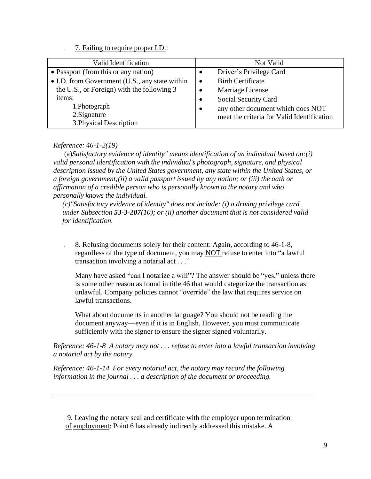### 7. 7. Failing to require proper I.D.:

| Valid Identification                           | Not Valid                                      |
|------------------------------------------------|------------------------------------------------|
| • Passport (from this or any nation)           | Driver's Privilege Card                        |
| • I.D. from Government (U.S., any state within | <b>Birth Certificate</b><br>$\bullet$          |
| the U.S., or Foreign) with the following 3     | Marriage License<br>$\bullet$                  |
| items:                                         | Social Security Card<br>$\bullet$              |
| 1.Photograph                                   | any other document which does NOT<br>$\bullet$ |
| 2. Signature                                   | meet the criteria for Valid Identification     |
| 3. Physical Description                        |                                                |

### *Reference: 46-1-2(19)*

(a)*Satisfactory evidence of identity" means identification of an individual based on:(i) valid personal identification with the individual's photograph, signature, and physical description issued by the United States government, any state within the United States, or a foreign government;(ii) a valid passport issued by any nation; or (iii) the oath or affirmation of a credible person who is personally known to the notary and who personally knows the individual.*

*(c)"Satisfactory evidence of identity" does not include: (i) a driving privilege card under Subsection 53-3-207(10); or (ii) another document that is not considered valid for identification.*

8. 8. Refusing documents solely for their content: Again, according to 46-1-8, regardless of the type of document, you may NOT refuse to enter into "a lawful transaction involving a notarial act . . ."

Many have asked "can I notarize a will"? The answer should be "yes," unless there is some other reason as found in title 46 that would categorize the transaction as unlawful. Company policies cannot "override" the law that requires service on lawful transactions.

What about documents in another language? You should not be reading the document anyway—even if it is in English. However, you must communicate sufficiently with the signer to ensure the signer signed voluntarily.

*Reference: 46-1-8 A notary may not . . . refuse to enter into a lawful transaction involving a notarial act by the notary.*

*Reference: 46-1-14 For every notarial act, the notary may record the following information in the journal . . . a description of the document or proceeding.*

<sup>9.</sup> Leaving the notary seal and certificate with the employer upon termination of employment: Point 6 has already indirectly addressed this mistake. A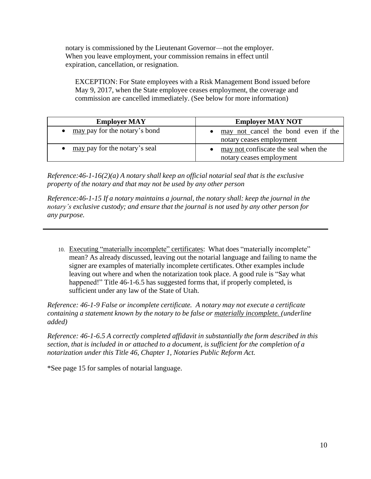notary is commissioned by the Lieutenant Governor—not the employer. When you leave employment, your commission remains in effect until expiration, cancellation, or resignation.

EXCEPTION: For State employees with a Risk Management Bond issued before May 9, 2017, when the State employee ceases employment, the coverage and commission are cancelled immediately. (See below for more information)

| <b>Employer MAY</b>           | <b>Employer MAY NOT</b>                                          |  |
|-------------------------------|------------------------------------------------------------------|--|
| may pay for the notary's bond | may not cancel the bond even if the<br>notary ceases employment  |  |
| may pay for the notary's seal | may not confiscate the seal when the<br>notary ceases employment |  |

*Reference:46-1-16(2)(a) A notary shall keep an official notarial seal that is the exclusive property of the notary and that may not be used by any other person*

*Reference:46-1-15 If a notary maintains a journal, the notary shall: keep the journal in the notary's exclusive custody; and ensure that the journal is not used by any other person for any purpose.*

10. Executing "materially incomplete" certificates: What does "materially incomplete" mean? As already discussed, leaving out the notarial language and failing to name the signer are examples of materially incomplete certificates. Other examples include leaving out where and when the notarization took place. A good rule is "Say what happened!" Title 46-1-6.5 has suggested forms that, if properly completed, is sufficient under any law of the State of Utah.

*Reference: 46-1-9 False or incomplete certificate. A notary may not execute a certificate containing a statement known by the notary to be false or materially incomplete. (underline added)*

*Reference: 46-1-6.5 A correctly completed affidavit in substantially the form described in this section, that is included in or attached to a document, is sufficient for the completion of a notarization under this Title 46, Chapter 1, Notaries Public Reform Act.*

\*See page 15 for samples of notarial language.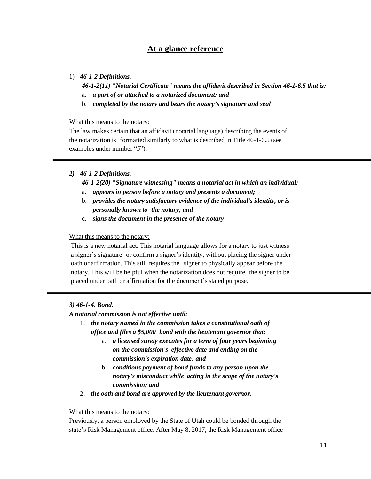### **At a glance reference**

### 1) *46-1-2 Definitions.*

- *46-1-2(11) "Notarial Certificate" means the affidavit described in Section 46-1-6.5 that is:*
- a. *a part of or attached to a notarized document: and*
- b. *completed by the notary and bears the notary's signature and seal*

#### What this means to the notary:

The law makes certain that an affidavit (notarial language) describing the events of the notarization is formatted similarly to what is described in Title 46-1-6.5 (see examples under number "5").

### *2) 46-1-2 Definitions.*

#### *46-1-2(20) "Signature witnessing" means a notarial act in which an individual:*

- a. *appears in person before a notary and presents a document;*
- b. *provides the notary satisfactory evidence of the individual's identity, or is personally known to the notary; and*
- c. *signs the document in the presence of the notary*

### What this means to the notary:

This is a new notarial act. This notarial language allows for a notary to just witness a signer's signature or confirm a signer's identity, without placing the signer under oath or affirmation. This still requires the signer to physically appear before the notary. This will be helpful when the notarization does not require the signer to be placed under oath or affirmation for the document's stated purpose.

### *3) 46-1-4. Bond.*

### *A notarial commission is not effective until:*

- 1. *the notary named in the commission takes a constitutional oath of office and files a \$5,000 bond with the lieutenant governor that:*
	- a. *a licensed surety executes for a term of four years beginning on the commission's effective date and ending on the commission's expiration date; and*
	- b. *conditions payment of bond funds to any person upon the notary's misconduct while acting in the scope of the notary's commission; and*
- 2. *the oath and bond are approved by the lieutenant governor.*

### What this means to the notary:

Previously, a person employed by the State of Utah could be bonded through the state's Risk Management office. After May 8, 2017, the Risk Management office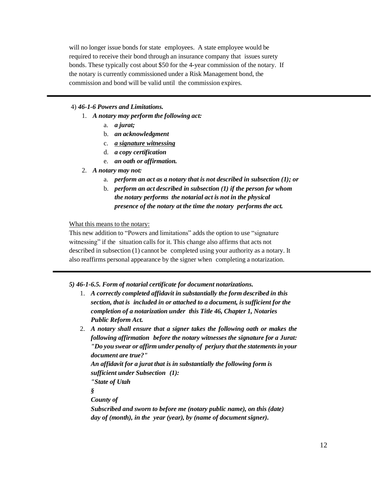will no longer issue bonds for state employees. A state employee would be required to receive their bond through an insurance company that issues surety bonds. These typically cost about \$50 for the 4-year commission of the notary. If the notary is currently commissioned under a Risk Management bond, the commission and bond will be valid until the commission expires.

### 4) *46-1-6 Powers and Limitations.*

- 1. *A notary may perform the following act:*
	- a. *a jurat;*
	- b. *an acknowledgment*
	- c. *a signature witnessing*
	- d. *a copy certification*
	- e. *an oath or affirmation.*
- 2. *A notary may not:*
	- a. *perform an act as a notary that is not described in subsection (1); or*
	- b. *perform an act described in subsection (1) if the person for whom the notary performs the notarial act is not in the physical presence of the notary at the time the notary performs the act.*

What this means to the notary:

This new addition to "Powers and limitations" adds the option to use "signature witnessing" if the situation calls for it. This change also affirms that acts not described in subsection (1) cannot be completed using your authority as a notary. It also reaffirms personal appearance by the signer when completing a notarization.

*5) 46-1-6.5. Form of notarial certificate for document notarizations.*

- 1. *A correctly completed affidavit in substantially the form described in this section, that is included in or attached to a document, is sufficient for the completion of a notarization under this Title 46, Chapter 1, Notaries Public Reform Act.*
- 2. *A notary shall ensure that a signer takes the following oath or makes the following affirmation before the notary witnesses the signature for a Jurat: "Do you swear or affirm under penalty of perjury that the statementsin your document are true?" An affidavit for a jurat that is in substantially the following form is sufficient under Subsection (1): "State of Utah § County of*

*Subscribed and sworn to before me (notary public name), on this (date) day of (month), in the year (year), by (name of document signer).*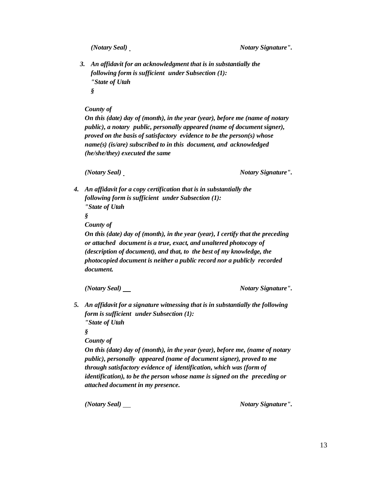*(Notary Seal) Notary Signature".* 

*3. An affidavit for an acknowledgment that is in substantially the following form is sufficient under Subsection (1): "State of Utah §*

*County of* 

*On this (date) day of (month), in the year (year), before me (name of notary public), a notary public, personally appeared (name of document signer), proved on the basis of satisfactory evidence to be the person(s) whose name(s) (is/are) subscribed to in this document, and acknowledged (he/she/they) executed the same*

*(Notary Seal) Notary Signature".* 

*4. An affidavit for a copy certification that is in substantially the following form is sufficient under Subsection (1): "State of Utah*

*§*

*County of* 

*On this (date) day of (month), in the year (year), I certify that the preceding or attached document is a true, exact, and unaltered photocopy of (description of document), and that, to the best of my knowledge, the photocopied document is neither a public record nor a publicly recorded document.*

*(Notary Seal) Notary Signature".*

*5. An affidavit for a signature witnessing that is in substantially the following form is sufficient under Subsection (1): "State of Utah*

*§*

*County of* 

*On this (date) day of (month), in the year (year), before me, (name of notary public), personally appeared (name of document signer), proved to me through satisfactory evidence of identification, which was (form of identification), to be the person whose name is signed on the preceding or attached document in my presence.*

*(Notary Seal)* Motary *Signature''*.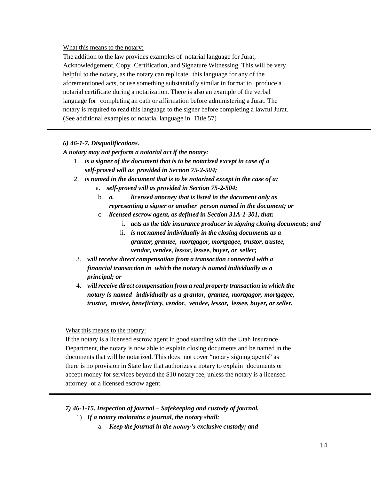What this means to the notary:

The addition to the law provides examples of notarial language for Jurat, Acknowledgement, Copy Certification, and Signature Witnessing. This will be very helpful to the notary, as the notary can replicate this language for any of the aforementioned acts, or use something substantially similar in format to produce a notarial certificate during a notarization. There is also an example of the verbal language for completing an oath or affirmation before administering a Jurat. The notary is required to read this language to the signer before completing a lawful Jurat. (See additional examples of notarial language in Title 57)

### *6) 46-1-7. Disqualifications.*

*A notary may not perform a notarial act if the notary:*

- 1. *is a signer of the document that is to be notarized except in case of a self-proved will as provided in Section 75-2-504;*
- 2. *is named in the document that is to be notarized except in the case of a:*
	- a. *self-proved will as provided in Section 75-2-504;*
	- b. *a. licensed attorney that is listed in the document only as representing a signer or another person named in the document; or*
	- c. *licensed escrow agent, as defined in Section 31A-1-301, that:*
		- i. *acts as the title insurance producer in signing closing documents; and*
		- ii. *is not named individually in the closing documents as a grantor, grantee, mortgagor, mortgagee, trustor, trustee, vendor, vendee, lessor, lessee, buyer, or seller;*
- 3. *will receive direct compensation from a transaction connected with a financial transaction in which the notary is named individually as a principal; or*
- 4. *willreceive direct compensation from a real property transaction in which the notary is named individually as a grantor, grantee, mortgagor, mortgagee, trustor, trustee, beneficiary, vendor, vendee, lessor, lessee, buyer, or seller.*

#### What this means to the notary:

If the notary is a licensed escrow agent in good standing with the Utah Insurance Department, the notary is now able to explain closing documents and be named in the documents that will be notarized. This does not cover "notary signing agents" as there is no provision in State law that authorizes a notary to explain documents or accept money for services beyond the \$10 notary fee, unless the notary is a licensed attorney or a licensed escrow agent.

### *7) 46-1-15. Inspection of journal – Safekeeping and custody of journal.*

- 1) *If a notary maintains a journal, the notary shall:*
	- a. *Keep the journal in the notary's exclusive custody; and*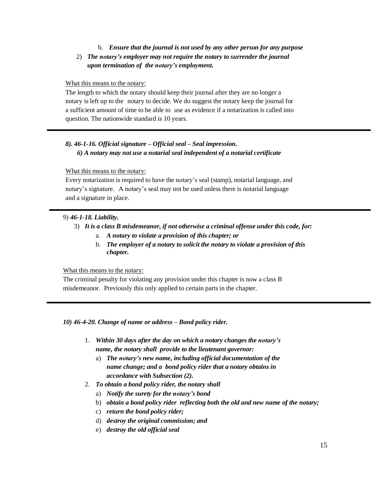### b. *Ensure that the journal is not used by any other person for any purpose* 2) *The notary's employer may not require the notary to surrender the journal upon termination of the notary's employment.*

### What this means to the notary:

The length to which the notary should keep their journal after they are no longer a notary is left up to the notary to decide. We do suggest the notary keep the journal for a sufficient amount of time to be able to use as evidence if a notarization is called into question. The nationwide standard is 10 years.

### *8). 46-1-16. Official signature – Official seal – Seal impression. 6) A notary may not use a notarial seal independent of a notarial certificate*

### What this means to the notary:

Every notarization is required to have the notary's seal (stamp), notarial language, and notary's signature. A notary's seal may not be used unless there is notarial language and a signature in place.

### 9) *46-1-18. Liability.*

- 3) *It is a class B misdemeanor, if not otherwise a criminal offense under this code, for:*
	- a. *A notary to violate a provision of this chapter; or*
	- b. *The employer of a notary to solicit the notary to violate a provision of this chapter.*

#### What this means to the notary:

The criminal penalty for violating any provision under this chapter is now a class B misdemeanor. Previously this only applied to certain parts in the chapter.

*10) 46-4-20. Change of name or address – Bond policy rider.*

- 1. *Within 30 days after the day on which a notary changes the notary's name, the notary shall provide to the lieutenant governor:*
	- a) *The notary's new name, including official documentation of the name change; and a bond policy rider that a notary obtains in accordance with Subsection (2).*
- 2. *To obtain a bond policy rider, the notary shall*
	- a) *Notify the surety for the notary's bond*
	- b) *obtain a bond policy rider reflecting both the old and new name of the notary;*
	- c) *return the bond policy rider;*
	- d) *destroy the original commission; and*
	- e) *destroy the old official seal*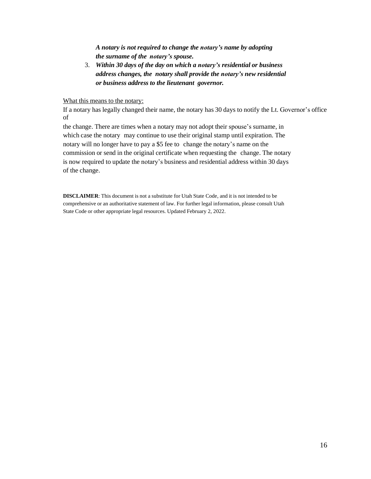*A notary is not required to change the notary's name by adopting the surname of the notary's spouse.*

3. *Within 30 days of the day on which a notary's residential or business address changes, the notary shall provide the notary's new residential or business address to the lieutenant governor.*

What this means to the notary:

If a notary has legally changed their name, the notary has 30 days to notify the Lt. Governor's office of

the change. There are times when a notary may not adopt their spouse's surname, in which case the notary may continue to use their original stamp until expiration. The notary will no longer have to pay a \$5 fee to change the notary's name on the commission or send in the original certificate when requesting the change. The notary is now required to update the notary's business and residential address within 30 days of the change.

**DISCLAIMER**: This document is not a substitute for Utah State Code, and it is not intended to be comprehensive or an authoritative statement of law. For further legal information, please consult Utah State Code or other appropriate legal resources. Updated February 2, 2022.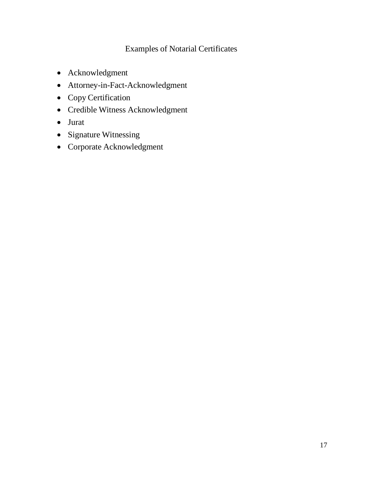### Examples of Notarial Certificates

- Acknowledgment
- Attorney-in-Fact-Acknowledgment
- Copy Certification
- Credible Witness Acknowledgment
- Jurat
- Signature Witnessing
- Corporate Acknowledgment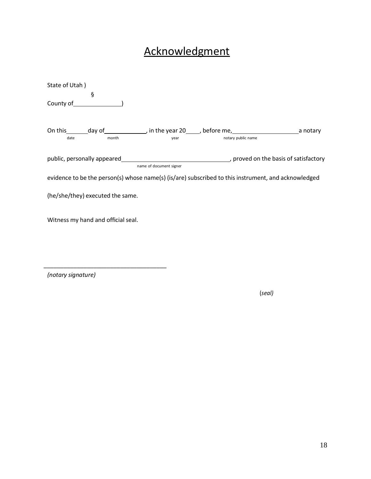# **Acknowledgment**

| State of Utah)                                                                                      |                         |                    |  |
|-----------------------------------------------------------------------------------------------------|-------------------------|--------------------|--|
| ş                                                                                                   |                         |                    |  |
| County of <b>Example 20</b>                                                                         |                         |                    |  |
|                                                                                                     |                         |                    |  |
|                                                                                                     |                         |                    |  |
| month<br>date                                                                                       | year                    | notary public name |  |
|                                                                                                     |                         |                    |  |
| public, personally appeared example and the basis of satisfactory                                   |                         |                    |  |
|                                                                                                     | name of document signer |                    |  |
| evidence to be the person(s) whose name(s) (is/are) subscribed to this instrument, and acknowledged |                         |                    |  |
|                                                                                                     |                         |                    |  |
| (he/she/they) executed the same.                                                                    |                         |                    |  |
|                                                                                                     |                         |                    |  |
| Witness my hand and official seal.                                                                  |                         |                    |  |
|                                                                                                     |                         |                    |  |
|                                                                                                     |                         |                    |  |

*(notary signature)*

\_\_\_\_\_\_\_\_\_\_\_\_\_\_\_\_\_\_\_\_\_\_\_\_\_\_\_\_\_\_\_\_\_\_\_\_\_

(*seal)*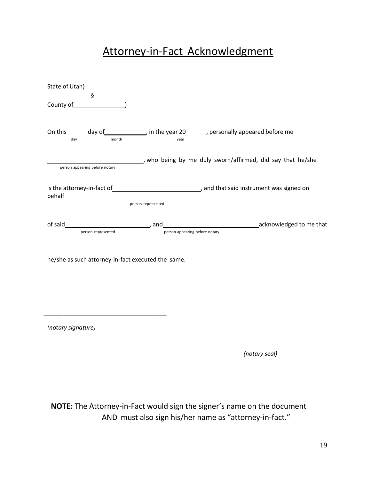### Attorney-in-Fact Acknowledgment

| State of Utah)                                                                                                                                                                                                           |                                |                                                                                                                |
|--------------------------------------------------------------------------------------------------------------------------------------------------------------------------------------------------------------------------|--------------------------------|----------------------------------------------------------------------------------------------------------------|
| ş                                                                                                                                                                                                                        |                                |                                                                                                                |
| On this _______ day of _______________, in the year 20________, personally appeared before me<br>month<br>day and the state of the state of the state of the state of the state of the state of the state of the state o | year                           |                                                                                                                |
| person appearing before notary                                                                                                                                                                                           |                                | who being by me duly sworn/affirmed, did say that he/she                                                       |
| behalf                                                                                                                                                                                                                   | person represented             | is the attorney-in-fact of same state is the attorney-in-fact of series and that said instrument was signed on |
| person represented                                                                                                                                                                                                       | person appearing before notary | acknowledged to me that contains a series and acknowledged to me that                                          |
| he/she as such attorney-in-fact executed the same.                                                                                                                                                                       |                                |                                                                                                                |
|                                                                                                                                                                                                                          |                                |                                                                                                                |

*(notary signature)*

\_\_\_\_\_\_\_\_\_\_\_\_\_\_\_\_\_\_\_\_\_\_\_\_\_\_\_\_\_\_\_\_\_\_\_\_\_

*(notary seal)*

**NOTE:** The Attorney-in-Fact would sign the signer's name on the document AND must also sign his/her name as "attorney-in-fact."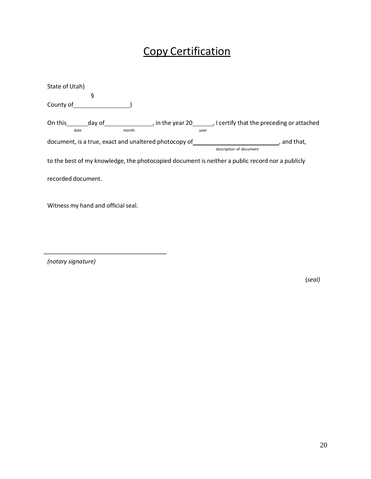# Copy Certification

| State of Utah)                                                                                  |       |                                                                     |           |
|-------------------------------------------------------------------------------------------------|-------|---------------------------------------------------------------------|-----------|
| ş                                                                                               |       |                                                                     |           |
| County of                                                                                       |       |                                                                     |           |
| On this<br>day of<br>date                                                                       | month | , in the year 20 , I certify that the preceding or attached<br>year |           |
| document, is a true, exact and unaltered photocopy of                                           |       |                                                                     | and that, |
|                                                                                                 |       | description of document                                             |           |
| to the best of my knowledge, the photocopied document is neither a public record nor a publicly |       |                                                                     |           |
| recorded document.                                                                              |       |                                                                     |           |

Witness my hand and official seal.

\_\_\_\_\_\_\_\_\_\_\_\_\_\_\_\_\_\_\_\_\_\_\_\_\_\_\_\_\_\_\_\_\_\_\_\_\_

*(notary signature)*

(*seal)*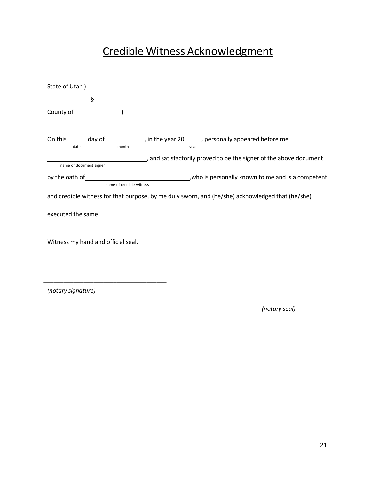# Credible Witness Acknowledgment

| State of Utah)                                                                                                 |                                                                    |
|----------------------------------------------------------------------------------------------------------------|--------------------------------------------------------------------|
| ş                                                                                                              |                                                                    |
| County of ware and county of ware and counter-                                                                 |                                                                    |
|                                                                                                                |                                                                    |
| On this ________ day of _______________, in the year 20_______, personally appeared before me<br>month<br>date | year                                                               |
|                                                                                                                | and satisfactorily proved to be the signer of the above document ( |
| name of document signer                                                                                        |                                                                    |
|                                                                                                                |                                                                    |
| name of credible witness                                                                                       |                                                                    |
| and credible witness for that purpose, by me duly sworn, and (he/she) acknowledged that (he/she)               |                                                                    |
| executed the same.                                                                                             |                                                                    |
| Witness my hand and official seal.                                                                             |                                                                    |
|                                                                                                                |                                                                    |

*(notary signature)*

\_\_\_\_\_\_\_\_\_\_\_\_\_\_\_\_\_\_\_\_\_\_\_\_\_\_\_\_\_\_\_\_\_\_\_\_\_

*(notary seal)*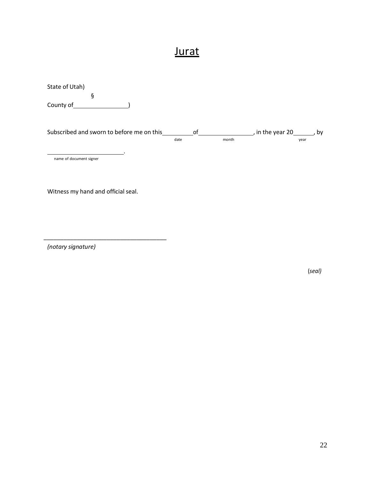### **Jurat**

State of Utah) § County of <u>Same and County of</u> Subscribed and sworn to before me on this \_\_\_\_\_\_\_\_\_\_\_of \_\_\_\_\_\_\_\_\_\_\_\_\_\_\_\_\_\_, in the year 20 \_\_\_\_\_\_\_, by date month month year . name of document signer

Witness my hand and official seal.

\_\_\_\_\_\_\_\_\_\_\_\_\_\_\_\_\_\_\_\_\_\_\_\_\_\_\_\_\_\_\_\_\_\_\_\_\_

*(notary signature)*

(*seal)*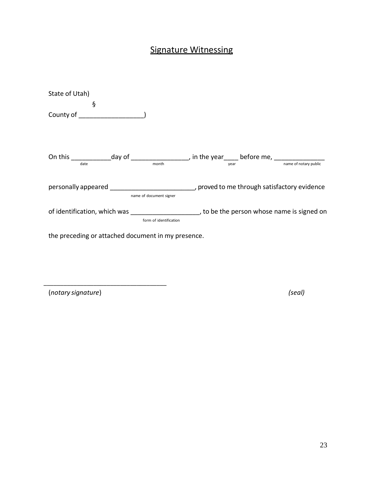### Signature Witnessing

| State of Utah)                                                                                                        |                                                                                                                   |
|-----------------------------------------------------------------------------------------------------------------------|-------------------------------------------------------------------------------------------------------------------|
| ş                                                                                                                     |                                                                                                                   |
| County of the country of the country of                                                                               |                                                                                                                   |
| On this _________________day of ______________________, in the year______ before me, _______________<br>date<br>month | name of notary public<br><b>vear</b> and <b>vear</b>                                                              |
| name of document signer                                                                                               | personally appeared example and the proved to me through satisfactory evidence                                    |
| form of identification                                                                                                | of identification, which was expansion of identification, which was the set of the person whose name is signed on |
| the preceding or attached document in my presence.                                                                    |                                                                                                                   |

(*notary signature*) *(seal)*

\_\_\_\_\_\_\_\_\_\_\_\_\_\_\_\_\_\_\_\_\_\_\_\_\_\_\_\_\_\_\_\_\_\_\_\_\_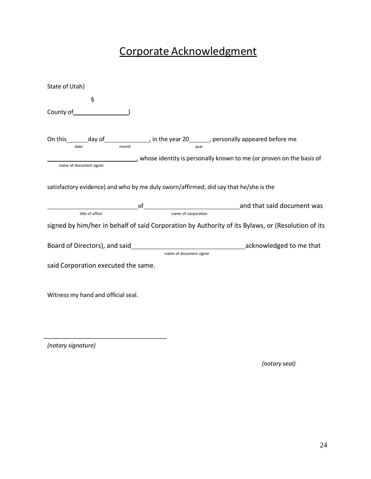# Corporate Acknowledgment

| State of Utah)                                                                                                                                   |                         |                                                                     |
|--------------------------------------------------------------------------------------------------------------------------------------------------|-------------------------|---------------------------------------------------------------------|
| $\S$                                                                                                                                             |                         |                                                                     |
|                                                                                                                                                  |                         |                                                                     |
| On this $\frac{1}{\text{date}}$ day of $\frac{1}{\text{month}}$ , in the year 20 $\frac{1}{\text{year}}$ , personally appeared before me<br>date |                         |                                                                     |
| name of document signer                                                                                                                          |                         | whose identity is personally known to me (or proven on the basis of |
| satisfactory evidence) and who by me duly sworn/affirmed, did say that he/she is the                                                             |                         |                                                                     |
|                                                                                                                                                  |                         | end that said document was                                          |
| title of office                                                                                                                                  | name of corporation     |                                                                     |
| signed by him/her in behalf of said Corporation by Authority of its Bylaws, or (Resolution of its                                                |                         |                                                                     |
|                                                                                                                                                  |                         |                                                                     |
|                                                                                                                                                  | name of document signer |                                                                     |
| said Corporation executed the same.                                                                                                              |                         |                                                                     |
|                                                                                                                                                  |                         |                                                                     |
| Witness my hand and official seal.                                                                                                               |                         |                                                                     |
|                                                                                                                                                  |                         |                                                                     |
|                                                                                                                                                  |                         |                                                                     |

*(notary signature)*

*(notary seal)*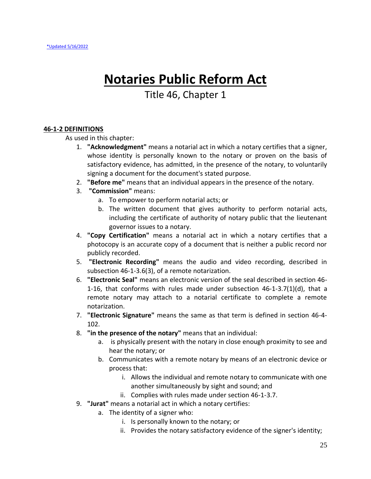# **Notaries Public Reform Act**

### Title 46, Chapter 1

### **46-1-2 DEFINITIONS**

As used in this chapter:

- 1. **"Acknowledgment"** means a notarial act in which a notary certifies that a signer, whose identity is personally known to the notary or proven on the basis of satisfactory evidence, has admitted, in the presence of the notary, to voluntarily signing a document for the document's stated purpose.
- 2. **"Before me"** means that an individual appears in the presence of the notary.
- 3. **"Commission"** means:
	- a. To empower to perform notarial acts; or
	- b. The written document that gives authority to perform notarial acts, including the certificate of authority of notary public that the lieutenant governor issues to a notary.
- 4. **"Copy Certification"** means a notarial act in which a notary certifies that a photocopy is an accurate copy of a document that is neither a public record nor publicly recorded.
- 5. **"Electronic Recording"** means the audio and video recording, described in subsection 46-1-3.6(3), of a remote notarization.
- 6. **"Electronic Seal"** means an electronic version of the seal described in section 46- 1-16, that conforms with rules made under subsection  $46-1-3.7(1)(d)$ , that a remote notary may attach to a notarial certificate to complete a remote notarization.
- 7. **"Electronic Signature"** means the same as that term is defined in section 46-4- 102.
- 8. **"in the presence of the notary"** means that an individual:
	- a. is physically present with the notary in close enough proximity to see and hear the notary; or
	- b. Communicates with a remote notary by means of an electronic device or process that:
		- i. Allows the individual and remote notary to communicate with one another simultaneously by sight and sound; and
		- ii. Complies with rules made under section 46-1-3.7.
- 9. **"Jurat"** means a notarial act in which a notary certifies:
	- a. The identity of a signer who:
		- i. Is personally known to the notary; or
		- ii. Provides the notary satisfactory evidence of the signer's identity;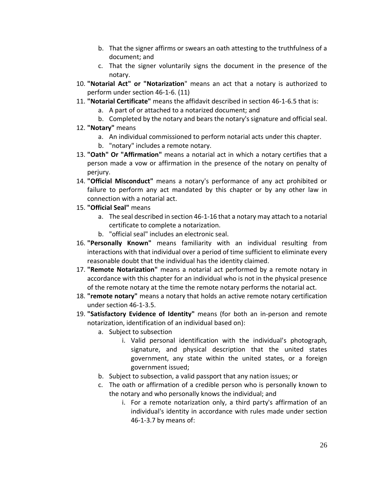- b. That the signer affirms or swears an oath attesting to the truthfulness of a document; and
- c. That the signer voluntarily signs the document in the presence of the notary.
- 10. **"Notarial Act" or "Notarization**" means an act that a notary is authorized to perform under section 46-1-6. (11)
- 11. **"Notarial Certificate"** means the affidavit described in section 46-1-6.5 that is:
	- a. A part of or attached to a notarized document; and
	- b. Completed by the notary and bears the notary's signature and official seal.
- 12. **"Notary"** means
	- a. An individual commissioned to perform notarial acts under this chapter.
	- b. "notary" includes a remote notary.
- 13. **"Oath" Or "Affirmation"** means a notarial act in which a notary certifies that a person made a vow or affirmation in the presence of the notary on penalty of perjury.
- 14. **"Official Misconduct"** means a notary's performance of any act prohibited or failure to perform any act mandated by this chapter or by any other law in connection with a notarial act.
- 15. **"Official Seal"** means
	- a. The seal described in section 46-1-16 that a notary may attach to a notarial certificate to complete a notarization.
	- b. "official seal" includes an electronic seal.
- 16. **"Personally Known"** means familiarity with an individual resulting from interactions with that individual over a period of time sufficient to eliminate every reasonable doubt that the individual has the identity claimed.
- 17. **"Remote Notarization"** means a notarial act performed by a remote notary in accordance with this chapter for an individual who is not in the physical presence of the remote notary at the time the remote notary performs the notarial act.
- 18. **"remote notary"** means a notary that holds an active remote notary certification under section 46-1-3.5.
- 19. **"Satisfactory Evidence of Identity"** means (for both an in-person and remote notarization, identification of an individual based on):
	- a. Subject to subsection
		- i. Valid personal identification with the individual's photograph, signature, and physical description that the united states government, any state within the united states, or a foreign government issued;
	- b. Subject to subsection, a valid passport that any nation issues; or
	- c. The oath or affirmation of a credible person who is personally known to the notary and who personally knows the individual; and
		- i. For a remote notarization only, a third party's affirmation of an individual's identity in accordance with rules made under section 46-1-3.7 by means of: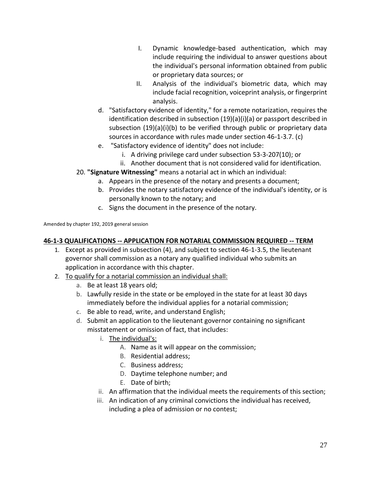- I. Dynamic knowledge-based authentication, which may include requiring the individual to answer questions about the individual's personal information obtained from public or proprietary data sources; or
- II. Analysis of the individual's biometric data, which may include facial recognition, voiceprint analysis, or fingerprint analysis.
- d. "Satisfactory evidence of identity," for a remote notarization, requires the identification described in subsection (19)(a)(i)(a) or passport described in subsection (19)(a)(i)(b) to be verified through public or proprietary data sources in accordance with rules made under section 46-1-3.7. (c)
- e. "Satisfactory evidence of identity" does not include:
	- i. A driving privilege card under subsection 53-3-207(10); or
	- ii. Another document that is not considered valid for identification.
- 20. **"Signature Witnessing"** means a notarial act in which an individual:
	- a. Appears in the presence of the notary and presents a document;
	- b. Provides the notary satisfactory evidence of the individual's identity, or is personally known to the notary; and
	- c. Signs the document in the presence of the notary.

Amended by chapter 192, 2019 general session

### **46-1-3 QUALIFICATIONS -- APPLICATION FOR NOTARIAL COMMISSION REQUIRED -- TERM**

- 1. Except as provided in subsection (4), and subject to section 46-1-3.5, the lieutenant governor shall commission as a notary any qualified individual who submits an application in accordance with this chapter.
- 2. To qualify for a notarial commission an individual shall:
	- a. Be at least 18 years old;
	- b. Lawfully reside in the state or be employed in the state for at least 30 days immediately before the individual applies for a notarial commission;
	- c. Be able to read, write, and understand English;
	- d. Submit an application to the lieutenant governor containing no significant misstatement or omission of fact, that includes:
		- i. The individual's:
			- A. Name as it will appear on the commission;
			- B. Residential address;
			- C. Business address;
			- D. Daytime telephone number; and
			- E. Date of birth;
		- ii. An affirmation that the individual meets the requirements of this section;
		- iii. An indication of any criminal convictions the individual has received, including a plea of admission or no contest;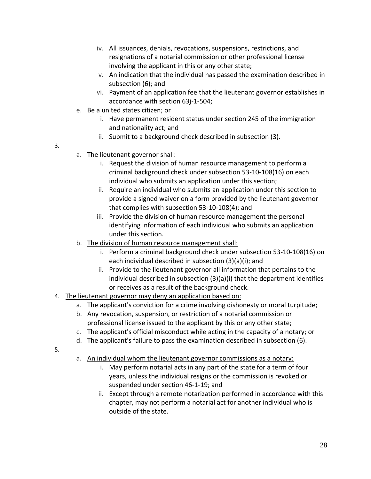- iv. All issuances, denials, revocations, suspensions, restrictions, and resignations of a notarial commission or other professional license involving the applicant in this or any other state;
- v. An indication that the individual has passed the examination described in subsection (6); and
- vi. Payment of an application fee that the lieutenant governor establishes in accordance with section 63j-1-504;
- e. Be a united states citizen; or
	- i. Have permanent resident status under section 245 of the immigration and nationality act; and
	- ii. Submit to a background check described in subsection (3).
- 3.
- a. The lieutenant governor shall:
	- i. Request the division of human resource management to perform a criminal background check under subsection 53-10-108(16) on each individual who submits an application under this section;
	- ii. Require an individual who submits an application under this section to provide a signed waiver on a form provided by the lieutenant governor that complies with subsection 53-10-108(4); and
	- iii. Provide the division of human resource management the personal identifying information of each individual who submits an application under this section.
- b. The division of human resource management shall:
	- i. Perform a criminal background check under subsection 53-10-108(16) on each individual described in subsection (3)(a)(i); and
	- ii. Provide to the lieutenant governor all information that pertains to the individual described in subsection (3)(a)(i) that the department identifies or receives as a result of the background check.
- 4. The lieutenant governor may deny an application based on:
	- a. The applicant's conviction for a crime involving dishonesty or moral turpitude;
	- b. Any revocation, suspension, or restriction of a notarial commission or professional license issued to the applicant by this or any other state;
	- c. The applicant's official misconduct while acting in the capacity of a notary; or
	- d. The applicant's failure to pass the examination described in subsection (6).
- 5.
- a. An individual whom the lieutenant governor commissions as a notary:
	- i. May perform notarial acts in any part of the state for a term of four years, unless the individual resigns or the commission is revoked or suspended under section 46-1-19; and
	- ii. Except through a remote notarization performed in accordance with this chapter, may not perform a notarial act for another individual who is outside of the state.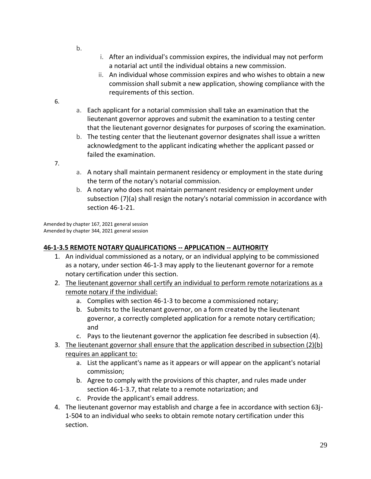- b.
- i. After an individual's commission expires, the individual may not perform a notarial act until the individual obtains a new commission.
- ii. An individual whose commission expires and who wishes to obtain a new commission shall submit a new application, showing compliance with the requirements of this section.
- 6.
- a. Each applicant for a notarial commission shall take an examination that the lieutenant governor approves and submit the examination to a testing center that the lieutenant governor designates for purposes of scoring the examination.
- b. The testing center that the lieutenant governor designates shall issue a written acknowledgment to the applicant indicating whether the applicant passed or failed the examination.

7.

- a. A notary shall maintain permanent residency or employment in the state during the term of the notary's notarial commission.
- b. A notary who does not maintain permanent residency or employment under subsection (7)(a) shall resign the notary's notarial commission in accordance with section 46-1-21.

Amended by chapter 167, 2021 general session Amended by chapter 344, 2021 general session

### **46-1-3.5 REMOTE NOTARY QUALIFICATIONS -- APPLICATION -- AUTHORITY**

- 1. An individual commissioned as a notary, or an individual applying to be commissioned as a notary, under section 46-1-3 may apply to the lieutenant governor for a remote notary certification under this section.
- 2. The lieutenant governor shall certify an individual to perform remote notarizations as a remote notary if the individual:
	- a. Complies with section 46-1-3 to become a commissioned notary;
	- b. Submits to the lieutenant governor, on a form created by the lieutenant governor, a correctly completed application for a remote notary certification; and
	- c. Pays to the lieutenant governor the application fee described in subsection (4).
- 3. The lieutenant governor shall ensure that the application described in subsection (2)(b) requires an applicant to:
	- a. List the applicant's name as it appears or will appear on the applicant's notarial commission;
	- b. Agree to comply with the provisions of this chapter, and rules made under section 46-1-3.7, that relate to a remote notarization; and
	- c. Provide the applicant's email address.
- 4. The lieutenant governor may establish and charge a fee in accordance with section 63j-1-504 to an individual who seeks to obtain remote notary certification under this section.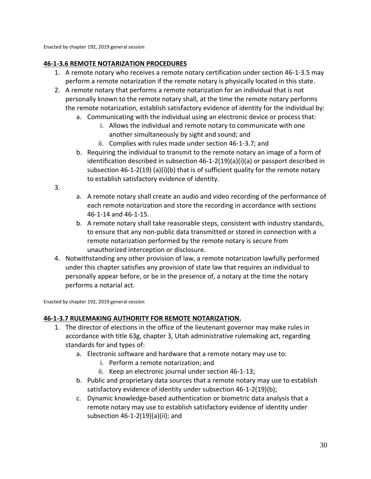Enacted by chapter 192, 2019 general session

### **46-1-3.6 REMOTE NOTARIZATION PROCEDURES**

- 1. A remote notary who receives a remote notary certification under section 46-1-3.5 may perform a remote notarization if the remote notary is physically located in this state.
- 2. A remote notary that performs a remote notarization for an individual that is not personally known to the remote notary shall, at the time the remote notary performs the remote notarization, establish satisfactory evidence of identity for the individual by:
	- a. Communicating with the individual using an electronic device or process that:
		- i. Allows the individual and remote notary to communicate with one another simultaneously by sight and sound; and
		- ii. Complies with rules made under section 46-1-3.7; and
	- b. Requiring the individual to transmit to the remote notary an image of a form of identification described in subsection  $46-1-2(19)(a)(i)(a)$  or passport described in subsection 46-1-2(19) (a)(i)(b) that is of sufficient quality for the remote notary to establish satisfactory evidence of identity.
- 3.
- a. A remote notary shall create an audio and video recording of the performance of each remote notarization and store the recording in accordance with sections 46-1-14 and 46-1-15.
- b. A remote notary shall take reasonable steps, consistent with industry standards, to ensure that any non-public data transmitted or stored in connection with a remote notarization performed by the remote notary is secure from unauthorized interception or disclosure.
- 4. Notwithstanding any other provision of law, a remote notarization lawfully performed under this chapter satisfies any provision of state law that requires an individual to personally appear before, or be in the presence of, a notary at the time the notary performs a notarial act.

Enacted by chapter 192, 2019 general session

### **46-1-3.7 RULEMAKING AUTHORITY FOR REMOTE NOTARIZATION.**

- 1. The director of elections in the office of the lieutenant governor may make rules in accordance with title 63g, chapter 3, Utah administrative rulemaking act, regarding standards for and types of:
	- a. Electronic software and hardware that a remote notary may use to:
		- i. Perform a remote notarization; and
		- ii. Keep an electronic journal under section 46-1-13;
	- b. Public and proprietary data sources that a remote notary may use to establish satisfactory evidence of identity under subsection 46-1-2(19)(b);
	- c. Dynamic knowledge-based authentication or biometric data analysis that a remote notary may use to establish satisfactory evidence of identity under subsection 46-1-2(19)(a)(ii); and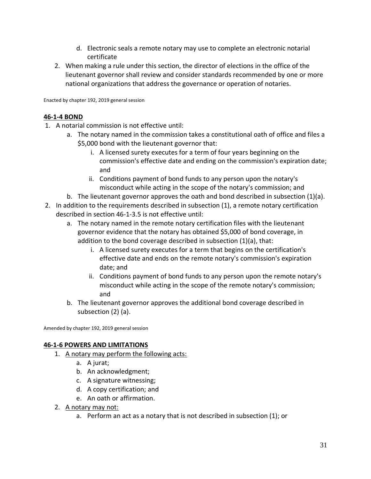- d. Electronic seals a remote notary may use to complete an electronic notarial certificate
- 2. When making a rule under this section, the director of elections in the office of the lieutenant governor shall review and consider standards recommended by one or more national organizations that address the governance or operation of notaries.

Enacted by chapter 192, 2019 general session

### **46-1-4 BOND**

- 1. A notarial commission is not effective until:
	- a. The notary named in the commission takes a constitutional oath of office and files a \$5,000 bond with the lieutenant governor that:
		- i. A licensed surety executes for a term of four years beginning on the commission's effective date and ending on the commission's expiration date; and
		- ii. Conditions payment of bond funds to any person upon the notary's misconduct while acting in the scope of the notary's commission; and
	- b. The lieutenant governor approves the oath and bond described in subsection (1)(a).
- 2. In addition to the requirements described in subsection (1), a remote notary certification described in section 46-1-3.5 is not effective until:
	- a. The notary named in the remote notary certification files with the lieutenant governor evidence that the notary has obtained \$5,000 of bond coverage, in addition to the bond coverage described in subsection (1)(a), that:
		- i. A licensed surety executes for a term that begins on the certification's effective date and ends on the remote notary's commission's expiration date; and
		- ii. Conditions payment of bond funds to any person upon the remote notary's misconduct while acting in the scope of the remote notary's commission; and
	- b. The lieutenant governor approves the additional bond coverage described in subsection (2) (a).

Amended by chapter 192, 2019 general session

### **46-1-6 POWERS AND LIMITATIONS**

- 1. A notary may perform the following acts:
	- a. A jurat;
	- b. An acknowledgment;
	- c. A signature witnessing;
	- d. A copy certification; and
	- e. An oath or affirmation.
- 2. A notary may not:
	- a. Perform an act as a notary that is not described in subsection (1); or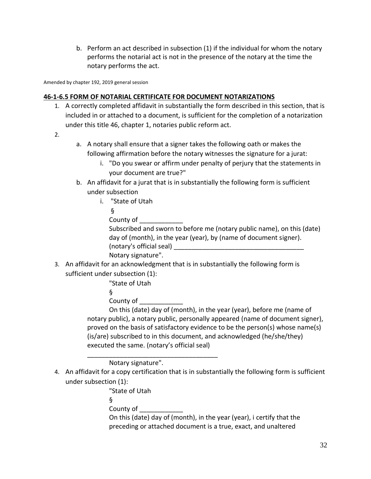b. Perform an act described in subsection (1) if the individual for whom the notary performs the notarial act is not in the presence of the notary at the time the notary performs the act.

Amended by chapter 192, 2019 general session

### **46-1-6.5 FORM OF NOTARIAL CERTIFICATE FOR DOCUMENT NOTARIZATIONS**

- 1. A correctly completed affidavit in substantially the form described in this section, that is included in or attached to a document, is sufficient for the completion of a notarization under this title 46, chapter 1, notaries public reform act.
- 2.
- a. A notary shall ensure that a signer takes the following oath or makes the following affirmation before the notary witnesses the signature for a jurat:
	- i. "Do you swear or affirm under penalty of perjury that the statements in your document are true?"
- b. An affidavit for a jurat that is in substantially the following form is sufficient under subsection
	- i. "State of Utah
		- §

County of

Subscribed and sworn to before me (notary public name), on this (date) day of (month), in the year (year), by (name of document signer). (notary's official seal) \_\_\_\_\_\_\_\_\_\_\_\_\_\_\_\_\_\_\_\_\_\_\_\_\_\_\_\_\_\_\_\_\_\_\_\_ Notary signature".

3. An affidavit for an acknowledgment that is in substantially the following form is sufficient under subsection (1):

"State of Utah

§

County of \_\_\_\_\_\_\_\_\_\_\_\_

On this (date) day of (month), in the year (year), before me (name of notary public), a notary public, personally appeared (name of document signer), proved on the basis of satisfactory evidence to be the person(s) whose name(s) (is/are) subscribed to in this document, and acknowledged (he/she/they) executed the same. (notary's official seal)

Notary signature".

\_\_\_\_\_\_\_\_\_\_\_\_\_\_\_\_\_\_\_\_\_\_\_\_\_\_\_\_\_\_\_\_\_\_\_\_

4. An affidavit for a copy certification that is in substantially the following form is sufficient under subsection (1):

"State of Utah

§

County of **Example 20** 

On this (date) day of (month), in the year (year), i certify that the preceding or attached document is a true, exact, and unaltered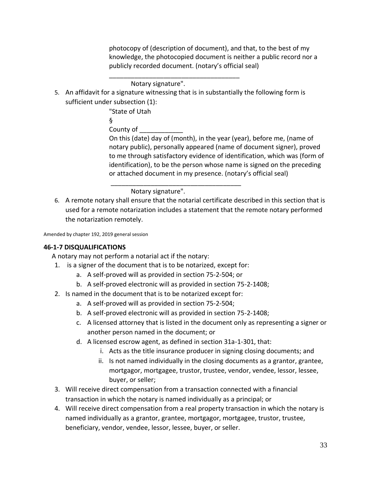photocopy of (description of document), and that, to the best of my knowledge, the photocopied document is neither a public record nor a publicly recorded document. (notary's official seal)

Notary signature".

5. An affidavit for a signature witnessing that is in substantially the following form is sufficient under subsection (1):

\_\_\_\_\_\_\_\_\_\_\_\_\_\_\_\_\_\_\_\_\_\_\_\_\_\_\_\_\_\_\_\_\_\_\_\_

"State of Utah

§

County of

On this (date) day of (month), in the year (year), before me, (name of notary public), personally appeared (name of document signer), proved to me through satisfactory evidence of identification, which was (form of identification), to be the person whose name is signed on the preceding or attached document in my presence. (notary's official seal)

Notary signature".

6. A remote notary shall ensure that the notarial certificate described in this section that is used for a remote notarization includes a statement that the remote notary performed the notarization remotely.

\_\_\_\_\_\_\_\_\_\_\_\_\_\_\_\_\_\_\_\_\_\_\_\_\_\_\_\_\_\_\_\_\_\_\_\_

Amended by chapter 192, 2019 general session

### **46-1-7 DISQUALIFICATIONS**

A notary may not perform a notarial act if the notary:

- 1. is a signer of the document that is to be notarized, except for:
	- a. A self-proved will as provided in section 75-2-504; or
	- b. A self-proved electronic will as provided in section 75-2-1408;
- 2. Is named in the document that is to be notarized except for:
	- a. A self-proved will as provided in section 75-2-504;
	- b. A self-proved electronic will as provided in section 75-2-1408;
	- c. A licensed attorney that is listed in the document only as representing a signer or another person named in the document; or
	- d. A licensed escrow agent, as defined in section 31a-1-301, that:
		- i. Acts as the title insurance producer in signing closing documents; and
		- ii. Is not named individually in the closing documents as a grantor, grantee, mortgagor, mortgagee, trustor, trustee, vendor, vendee, lessor, lessee, buyer, or seller;
- 3. Will receive direct compensation from a transaction connected with a financial transaction in which the notary is named individually as a principal; or
- 4. Will receive direct compensation from a real property transaction in which the notary is named individually as a grantor, grantee, mortgagor, mortgagee, trustor, trustee, beneficiary, vendor, vendee, lessor, lessee, buyer, or seller.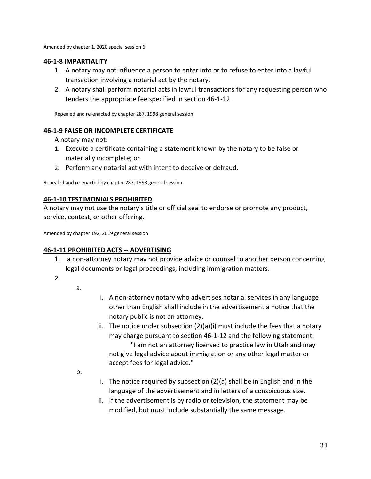Amended by chapter 1, 2020 special session 6

### **46-1-8 IMPARTIALITY**

- 1. A notary may not influence a person to enter into or to refuse to enter into a lawful transaction involving a notarial act by the notary.
- 2. A notary shall perform notarial acts in lawful transactions for any requesting person who tenders the appropriate fee specified in section 46-1-12.

Repealed and re-enacted by chapter 287, 1998 general session

### **46-1-9 FALSE OR INCOMPLETE CERTIFICATE**

A notary may not:

- 1. Execute a certificate containing a statement known by the notary to be false or materially incomplete; or
- 2. Perform any notarial act with intent to deceive or defraud.

Repealed and re-enacted by chapter 287, 1998 general session

### **46-1-10 TESTIMONIALS PROHIBITED**

A notary may not use the notary's title or official seal to endorse or promote any product, service, contest, or other offering.

Amended by chapter 192, 2019 general session

### **46-1-11 PROHIBITED ACTS -- ADVERTISING**

- 1. a non-attorney notary may not provide advice or counsel to another person concerning legal documents or legal proceedings, including immigration matters.
- 2.
- a.
- i. A non-attorney notary who advertises notarial services in any language other than English shall include in the advertisement a notice that the notary public is not an attorney.
- ii. The notice under subsection  $(2)(a)(i)$  must include the fees that a notary may charge pursuant to section 46-1-12 and the following statement: "I am not an attorney licensed to practice law in Utah and may not give legal advice about immigration or any other legal matter or accept fees for legal advice."

b.

- i. The notice required by subsection (2)(a) shall be in English and in the language of the advertisement and in letters of a conspicuous size.
- ii. If the advertisement is by radio or television, the statement may be modified, but must include substantially the same message.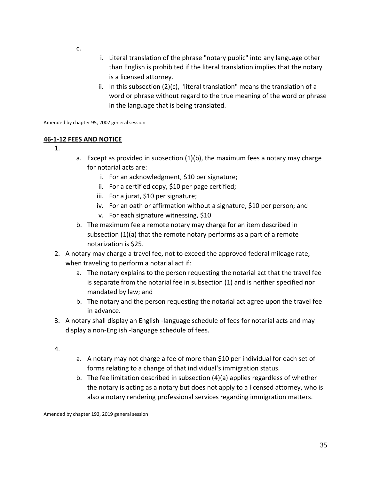- c.
- i. Literal translation of the phrase "notary public" into any language other than English is prohibited if the literal translation implies that the notary is a licensed attorney.
- ii. In this subsection (2)(c), "literal translation" means the translation of a word or phrase without regard to the true meaning of the word or phrase in the language that is being translated.

Amended by chapter 95, 2007 general session

### **46-1-12 FEES AND NOTICE**

- 1.
- a. Except as provided in subsection (1)(b), the maximum fees a notary may charge for notarial acts are:
	- i. For an acknowledgment, \$10 per signature;
	- ii. For a certified copy, \$10 per page certified;
	- iii. For a jurat, \$10 per signature;
	- iv. For an oath or affirmation without a signature, \$10 per person; and
	- v. For each signature witnessing, \$10
- b. The maximum fee a remote notary may charge for an item described in subsection (1)(a) that the remote notary performs as a part of a remote notarization is \$25.
- 2. A notary may charge a travel fee, not to exceed the approved federal mileage rate, when traveling to perform a notarial act if:
	- a. The notary explains to the person requesting the notarial act that the travel fee is separate from the notarial fee in subsection (1) and is neither specified nor mandated by law; and
	- b. The notary and the person requesting the notarial act agree upon the travel fee in advance.
- 3. A notary shall display an English -language schedule of fees for notarial acts and may display a non-English -language schedule of fees.
- 4.
- a. A notary may not charge a fee of more than \$10 per individual for each set of forms relating to a change of that individual's immigration status.
- b. The fee limitation described in subsection (4)(a) applies regardless of whether the notary is acting as a notary but does not apply to a licensed attorney, who is also a notary rendering professional services regarding immigration matters.

Amended by chapter 192, 2019 general session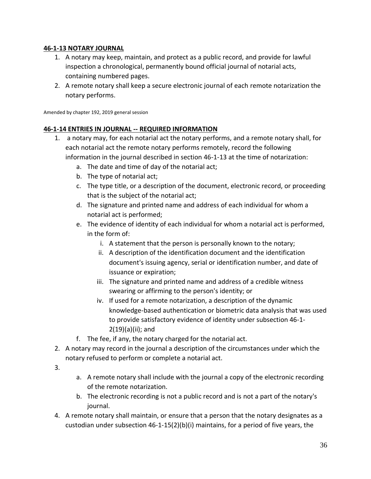### **46-1-13 NOTARY JOURNAL**

- 1. A notary may keep, maintain, and protect as a public record, and provide for lawful inspection a chronological, permanently bound official journal of notarial acts, containing numbered pages.
- 2. A remote notary shall keep a secure electronic journal of each remote notarization the notary performs.

Amended by chapter 192, 2019 general session

### **46-1-14 ENTRIES IN JOURNAL -- REQUIRED INFORMATION**

- 1. a notary may, for each notarial act the notary performs, and a remote notary shall, for each notarial act the remote notary performs remotely, record the following information in the journal described in section 46-1-13 at the time of notarization:
	- a. The date and time of day of the notarial act;
	- b. The type of notarial act;
	- c. The type title, or a description of the document, electronic record, or proceeding that is the subject of the notarial act;
	- d. The signature and printed name and address of each individual for whom a notarial act is performed;
	- e. The evidence of identity of each individual for whom a notarial act is performed, in the form of:
		- i. A statement that the person is personally known to the notary;
		- ii. A description of the identification document and the identification document's issuing agency, serial or identification number, and date of issuance or expiration;
		- iii. The signature and printed name and address of a credible witness swearing or affirming to the person's identity; or
		- iv. If used for a remote notarization, a description of the dynamic knowledge-based authentication or biometric data analysis that was used to provide satisfactory evidence of identity under subsection 46-1-  $2(19)(a)(ii)$ ; and
	- f. The fee, if any, the notary charged for the notarial act.
- 2. A notary may record in the journal a description of the circumstances under which the notary refused to perform or complete a notarial act.
- 3.
- a. A remote notary shall include with the journal a copy of the electronic recording of the remote notarization.
- b. The electronic recording is not a public record and is not a part of the notary's journal.
- 4. A remote notary shall maintain, or ensure that a person that the notary designates as a custodian under subsection 46-1-15(2)(b)(i) maintains, for a period of five years, the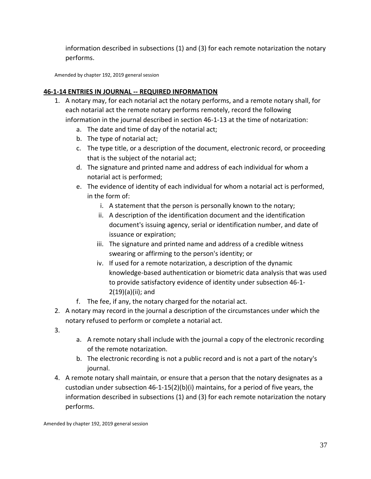information described in subsections (1) and (3) for each remote notarization the notary performs.

Amended by chapter 192, 2019 general session

### **46-1-14 ENTRIES IN JOURNAL -- REQUIRED INFORMATION**

- 1. A notary may, for each notarial act the notary performs, and a remote notary shall, for each notarial act the remote notary performs remotely, record the following information in the journal described in section 46-1-13 at the time of notarization:
	- a. The date and time of day of the notarial act;
	- b. The type of notarial act;
	- c. The type title, or a description of the document, electronic record, or proceeding that is the subject of the notarial act;
	- d. The signature and printed name and address of each individual for whom a notarial act is performed;
	- e. The evidence of identity of each individual for whom a notarial act is performed, in the form of:
		- i. A statement that the person is personally known to the notary;
		- ii. A description of the identification document and the identification document's issuing agency, serial or identification number, and date of issuance or expiration;
		- iii. The signature and printed name and address of a credible witness swearing or affirming to the person's identity; or
		- iv. If used for a remote notarization, a description of the dynamic knowledge-based authentication or biometric data analysis that was used to provide satisfactory evidence of identity under subsection 46-1-  $2(19)(a)(ii)$ ; and
	- f. The fee, if any, the notary charged for the notarial act.
- 2. A notary may record in the journal a description of the circumstances under which the notary refused to perform or complete a notarial act.
- 3.
- a. A remote notary shall include with the journal a copy of the electronic recording of the remote notarization.
- b. The electronic recording is not a public record and is not a part of the notary's journal.
- 4. A remote notary shall maintain, or ensure that a person that the notary designates as a custodian under subsection 46-1-15(2)(b)(i) maintains, for a period of five years, the information described in subsections (1) and (3) for each remote notarization the notary performs.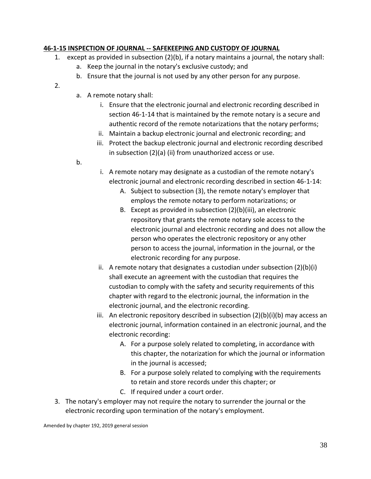### **46-1-15 INSPECTION OF JOURNAL -- SAFEKEEPING AND CUSTODY OF JOURNAL**

- 1. except as provided in subsection (2)(b), if a notary maintains a journal, the notary shall:
	- a. Keep the journal in the notary's exclusive custody; and
	- b. Ensure that the journal is not used by any other person for any purpose.
- 2.
- a. A remote notary shall:
	- i. Ensure that the electronic journal and electronic recording described in section 46-1-14 that is maintained by the remote notary is a secure and authentic record of the remote notarizations that the notary performs;
	- ii. Maintain a backup electronic journal and electronic recording; and
	- iii. Protect the backup electronic journal and electronic recording described in subsection (2)(a) (ii) from unauthorized access or use.
- b.
- i. A remote notary may designate as a custodian of the remote notary's electronic journal and electronic recording described in section 46-1-14:
	- A. Subject to subsection (3), the remote notary's employer that employs the remote notary to perform notarizations; or
	- B. Except as provided in subsection (2)(b)(iii), an electronic repository that grants the remote notary sole access to the electronic journal and electronic recording and does not allow the person who operates the electronic repository or any other person to access the journal, information in the journal, or the electronic recording for any purpose.
- ii. A remote notary that designates a custodian under subsection (2)(b)(i) shall execute an agreement with the custodian that requires the custodian to comply with the safety and security requirements of this chapter with regard to the electronic journal, the information in the electronic journal, and the electronic recording.
- iii. An electronic repository described in subsection  $(2)(b)(i)(b)$  may access an electronic journal, information contained in an electronic journal, and the electronic recording:
	- A. For a purpose solely related to completing, in accordance with this chapter, the notarization for which the journal or information in the journal is accessed;
	- B. For a purpose solely related to complying with the requirements to retain and store records under this chapter; or
	- C. If required under a court order.
- 3. The notary's employer may not require the notary to surrender the journal or the electronic recording upon termination of the notary's employment.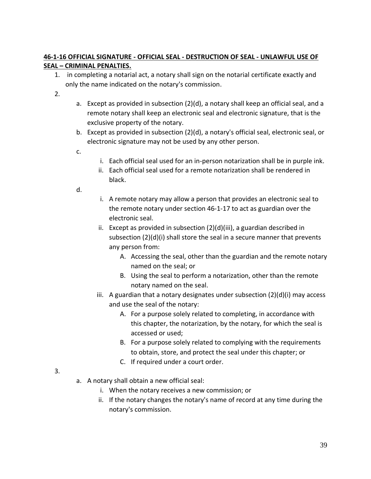### **46-1-16 OFFICIAL SIGNATURE - OFFICIAL SEAL - DESTRUCTION OF SEAL - UNLAWFUL USE OF SEAL – CRIMINAL PENALTIES.**

- 1. in completing a notarial act, a notary shall sign on the notarial certificate exactly and only the name indicated on the notary's commission.
- 2.
- a. Except as provided in subsection (2)(d), a notary shall keep an official seal, and a remote notary shall keep an electronic seal and electronic signature, that is the exclusive property of the notary.
- b. Except as provided in subsection (2)(d), a notary's official seal, electronic seal, or electronic signature may not be used by any other person.
- c.
- i. Each official seal used for an in-person notarization shall be in purple ink.
- ii. Each official seal used for a remote notarization shall be rendered in black.

d.

- i. A remote notary may allow a person that provides an electronic seal to the remote notary under section 46-1-17 to act as guardian over the electronic seal.
- ii. Except as provided in subsection (2)(d)(iii), a guardian described in subsection (2)(d)(i) shall store the seal in a secure manner that prevents any person from:
	- A. Accessing the seal, other than the guardian and the remote notary named on the seal; or
	- B. Using the seal to perform a notarization, other than the remote notary named on the seal.
- iii. A guardian that a notary designates under subsection  $(2)(d)(i)$  may access and use the seal of the notary:
	- A. For a purpose solely related to completing, in accordance with this chapter, the notarization, by the notary, for which the seal is accessed or used;
	- B. For a purpose solely related to complying with the requirements to obtain, store, and protect the seal under this chapter; or
	- C. If required under a court order.

- 3.
- a. A notary shall obtain a new official seal:
	- i. When the notary receives a new commission; or
	- ii. If the notary changes the notary's name of record at any time during the notary's commission.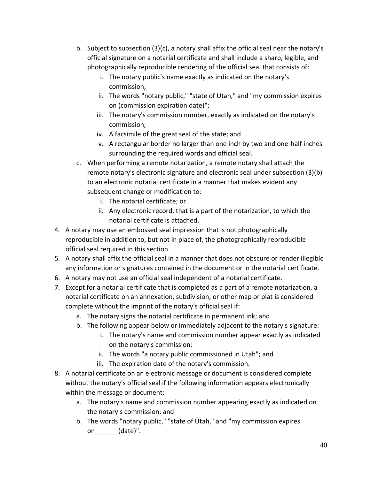- b. Subject to subsection (3)(c), a notary shall affix the official seal near the notary's official signature on a notarial certificate and shall include a sharp, legible, and photographically reproducible rendering of the official seal that consists of:
	- i. The notary public's name exactly as indicated on the notary's commission;
	- ii. The words "notary public," "state of Utah," and "my commission expires on (commission expiration date)";
	- iii. The notary's commission number, exactly as indicated on the notary's commission;
	- iv. A facsimile of the great seal of the state; and
	- v. A rectangular border no larger than one inch by two and one-half inches surrounding the required words and official seal.
- c. When performing a remote notarization, a remote notary shall attach the remote notary's electronic signature and electronic seal under subsection (3)(b) to an electronic notarial certificate in a manner that makes evident any subsequent change or modification to:
	- i. The notarial certificate; or
	- ii. Any electronic record, that is a part of the notarization, to which the notarial certificate is attached.
- 4. A notary may use an embossed seal impression that is not photographically reproducible in addition to, but not in place of, the photographically reproducible official seal required in this section.
- 5. A notary shall affix the official seal in a manner that does not obscure or render illegible any information or signatures contained in the document or in the notarial certificate.
- 6. A notary may not use an official seal independent of a notarial certificate.
- 7. Except for a notarial certificate that is completed as a part of a remote notarization, a notarial certificate on an annexation, subdivision, or other map or plat is considered complete without the imprint of the notary's official seal if:
	- a. The notary signs the notarial certificate in permanent ink; and
	- b. The following appear below or immediately adjacent to the notary's signature:
		- i. The notary's name and commission number appear exactly as indicated on the notary's commission;
		- ii. The words "a notary public commissioned in Utah"; and
		- iii. The expiration date of the notary's commission.
- 8. A notarial certificate on an electronic message or document is considered complete without the notary's official seal if the following information appears electronically within the message or document:
	- a. The notary's name and commission number appearing exactly as indicated on the notary's commission; and
	- b. The words "notary public," "state of Utah," and "my commission expires on\_\_\_\_\_\_ (date)".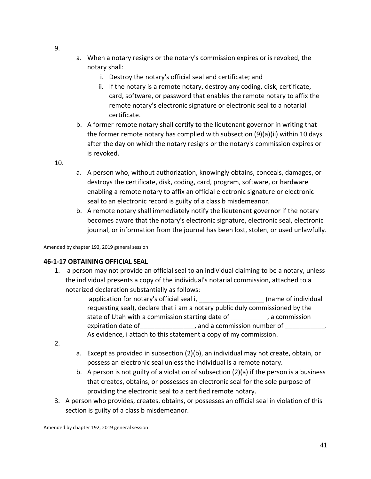- 9.
- a. When a notary resigns or the notary's commission expires or is revoked, the notary shall:
	- i. Destroy the notary's official seal and certificate; and
	- ii. If the notary is a remote notary, destroy any coding, disk, certificate, card, software, or password that enables the remote notary to affix the remote notary's electronic signature or electronic seal to a notarial certificate.
- b. A former remote notary shall certify to the lieutenant governor in writing that the former remote notary has complied with subsection (9)(a)(ii) within 10 days after the day on which the notary resigns or the notary's commission expires or is revoked.

10.

- a. A person who, without authorization, knowingly obtains, conceals, damages, or destroys the certificate, disk, coding, card, program, software, or hardware enabling a remote notary to affix an official electronic signature or electronic seal to an electronic record is guilty of a class b misdemeanor.
- b. A remote notary shall immediately notify the lieutenant governor if the notary becomes aware that the notary's electronic signature, electronic seal, electronic journal, or information from the journal has been lost, stolen, or used unlawfully.

Amended by chapter 192, 2019 general session

### **46-1-17 OBTAINING OFFICIAL SEAL**

1. a person may not provide an official seal to an individual claiming to be a notary, unless the individual presents a copy of the individual's notarial commission, attached to a notarized declaration substantially as follows:

> application for notary's official seal i, \_\_\_\_\_\_\_\_\_\_\_\_\_\_\_\_\_\_\_\_\_\_(name of individual requesting seal), declare that i am a notary public duly commissioned by the state of Utah with a commission starting date of \_\_\_\_\_\_\_\_\_\_, a commission expiration date of expiration date of  $\Box$ , and a commission number of As evidence, i attach to this statement a copy of my commission.

- 2.
- a. Except as provided in subsection (2)(b), an individual may not create, obtain, or possess an electronic seal unless the individual is a remote notary.
- b. A person is not guilty of a violation of subsection (2)(a) if the person is a business that creates, obtains, or possesses an electronic seal for the sole purpose of providing the electronic seal to a certified remote notary.
- 3. A person who provides, creates, obtains, or possesses an official seal in violation of this section is guilty of a class b misdemeanor.

Amended by chapter 192, 2019 general session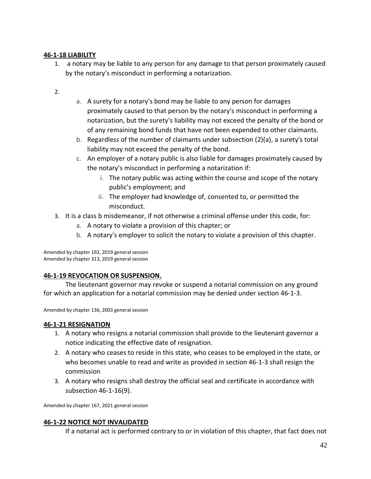### **46-1-18 LIABILITY**

- 1. a notary may be liable to any person for any damage to that person proximately caused by the notary's misconduct in performing a notarization.
- 2.
- a. A surety for a notary's bond may be liable to any person for damages proximately caused to that person by the notary's misconduct in performing a notarization, but the surety's liability may not exceed the penalty of the bond or of any remaining bond funds that have not been expended to other claimants.
- b. Regardless of the number of claimants under subsection (2)(a), a surety's total liability may not exceed the penalty of the bond.
- c. An employer of a notary public is also liable for damages proximately caused by the notary's misconduct in performing a notarization if:
	- i. The notary public was acting within the course and scope of the notary public's employment; and
	- ii. The employer had knowledge of, consented to, or permitted the misconduct.
- 3. It is a class b misdemeanor, if not otherwise a criminal offense under this code, for:
	- a. A notary to violate a provision of this chapter; or
	- b. A notary's employer to solicit the notary to violate a provision of this chapter.

Amended by chapter 192, 2019 general session Amended by chapter 313, 2019 general session

### **46-1-19 REVOCATION OR SUSPENSION.**

The lieutenant governor may revoke or suspend a notarial commission on any ground for which an application for a notarial commission may be denied under section 46-1-3.

Amended by chapter 136, 2003 general session

### **46-1-21 RESIGNATION**

- 1. A notary who resigns a notarial commission shall provide to the lieutenant governor a notice indicating the effective date of resignation.
- 2. A notary who ceases to reside in this state, who ceases to be employed in the state, or who becomes unable to read and write as provided in section 46-1-3 shall resign the commission
- 3. A notary who resigns shall destroy the official seal and certificate in accordance with subsection 46-1-16(9).

Amended by chapter 167, 2021 general session

### **46-1-22 NOTICE NOT INVALIDATED**

If a notarial act is performed contrary to or in violation of this chapter, that fact does not